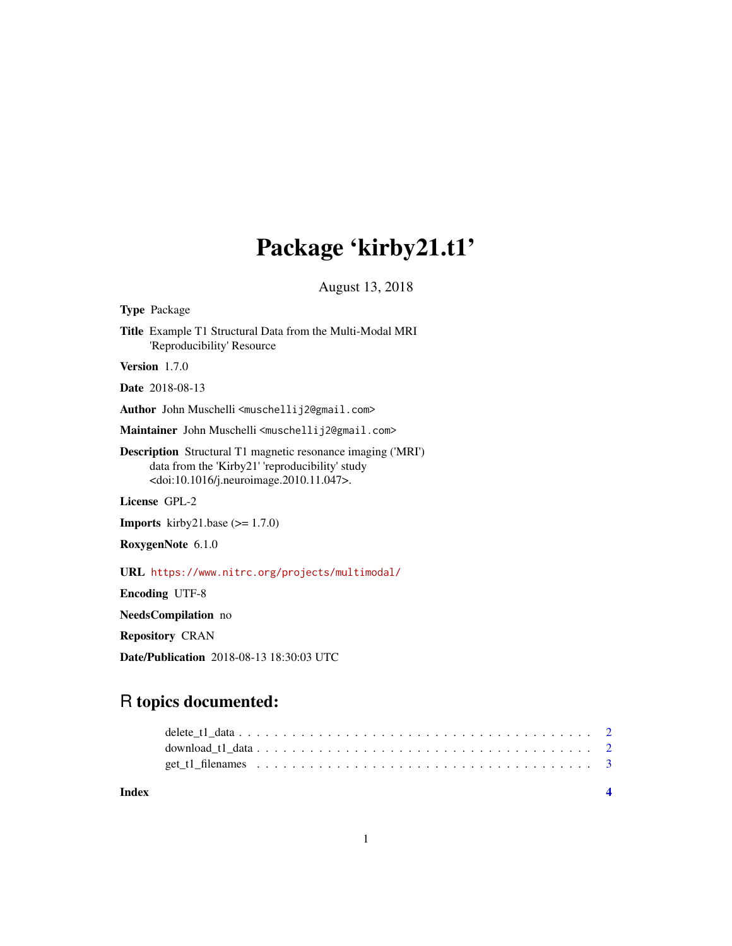## Package 'kirby21.t1'

August 13, 2018

<span id="page-0-0"></span>Type Package Title Example T1 Structural Data from the Multi-Modal MRI 'Reproducibility' Resource Version 1.7.0 Date 2018-08-13 Author John Muschelli <muschellij2@gmail.com> Maintainer John Muschelli <muschellij2@gmail.com> Description Structural T1 magnetic resonance imaging ('MRI') data from the 'Kirby21' 'reproducibility' study <doi:10.1016/j.neuroimage.2010.11.047>. License GPL-2 **Imports** kirby21.base  $(>= 1.7.0)$ RoxygenNote 6.1.0 URL <https://www.nitrc.org/projects/multimodal/> Encoding UTF-8 NeedsCompilation no Repository CRAN Date/Publication 2018-08-13 18:30:03 UTC

### R topics documented:

**Index** [4](#page-3-0)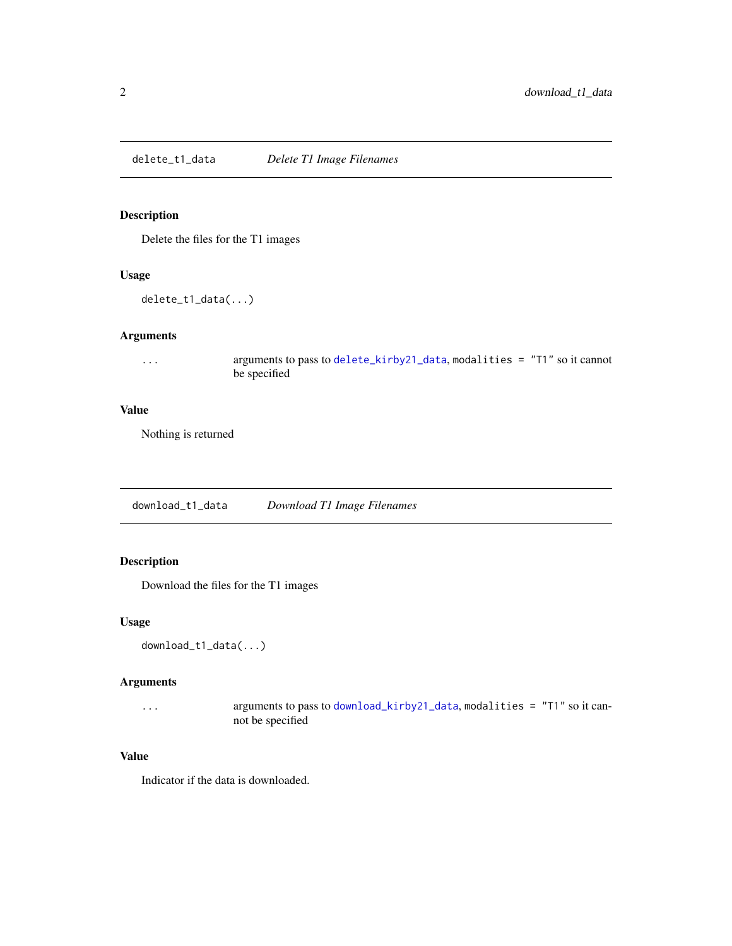<span id="page-1-0"></span>delete\_t1\_data *Delete T1 Image Filenames*

#### Description

Delete the files for the T1 images

#### Usage

delete\_t1\_data(...)

#### Arguments

... arguments to pass to [delete\\_kirby21\\_data](#page-0-0), modalities = "T1" so it cannot be specified

#### Value

Nothing is returned

download\_t1\_data *Download T1 Image Filenames*

#### Description

Download the files for the T1 images

#### Usage

```
download_t1_data(...)
```
#### Arguments

... arguments to pass to [download\\_kirby21\\_data](#page-0-0), modalities = "T1" so it cannot be specified

#### Value

Indicator if the data is downloaded.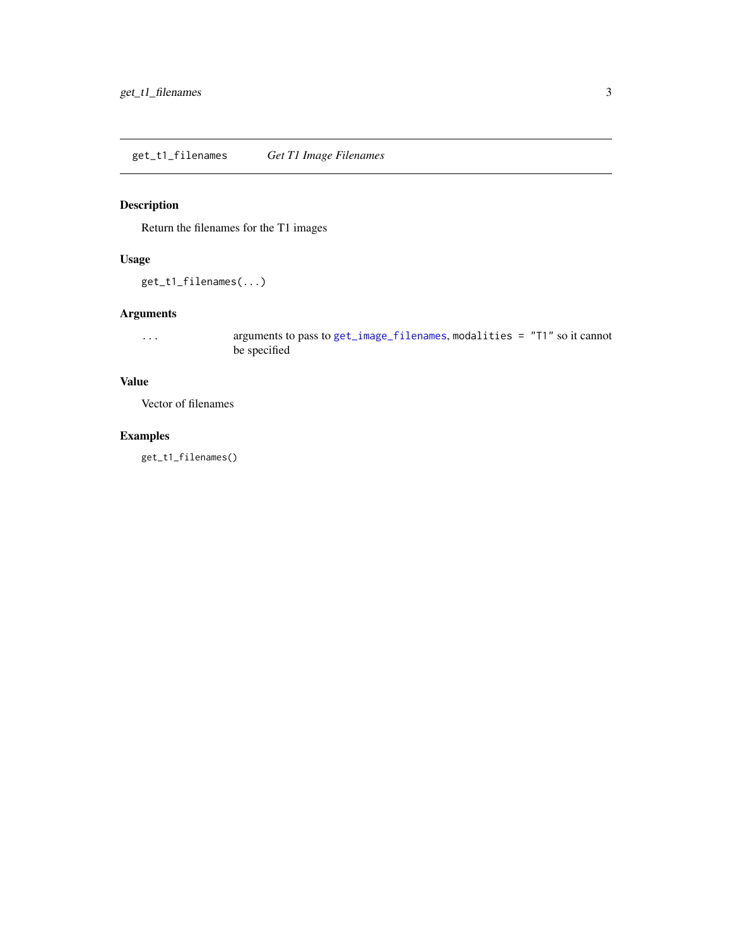#### <span id="page-2-0"></span>Description

Return the filenames for the T1 images

#### Usage

get\_t1\_filenames(...)

#### Arguments

... arguments to pass to [get\\_image\\_filenames](#page-0-0), modalities = "T1" so it cannot be specified

#### Value

Vector of filenames

#### Examples

get\_t1\_filenames()